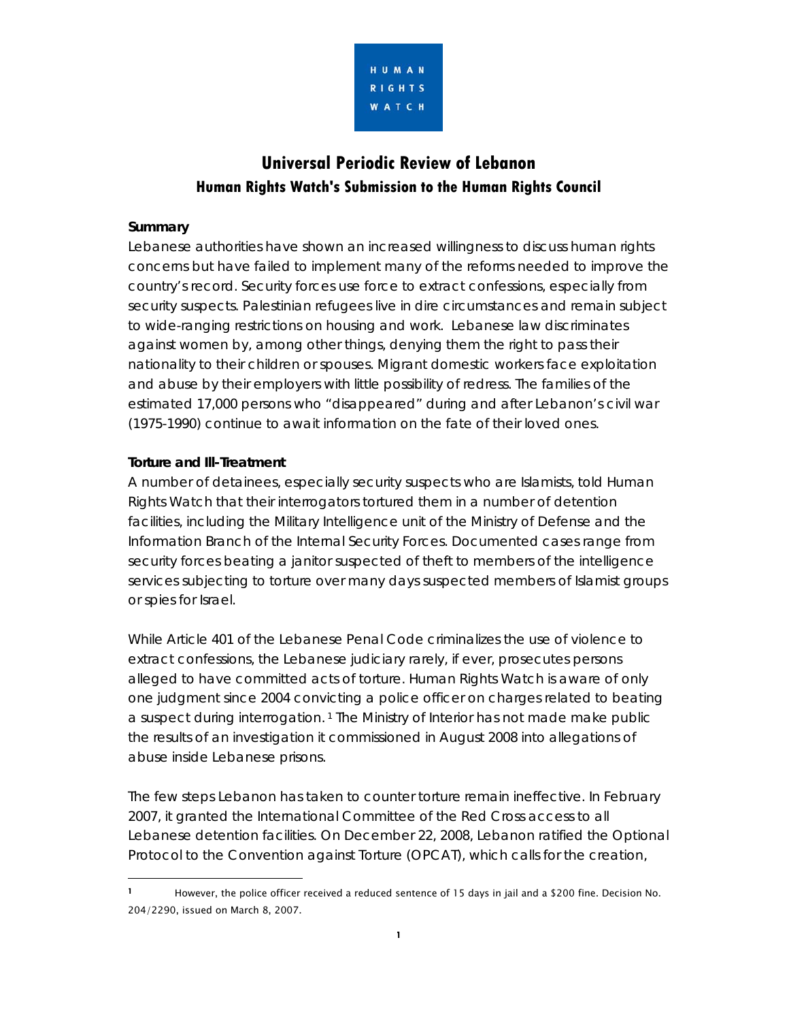

# **Universal Periodic Review of Lebanon Human Rights Watch's Submission to the Human Rights Council**

#### **Summary**

 $\overline{a}$ 

Lebanese authorities have shown an increased willingness to discuss human rights concerns but have failed to implement many of the reforms needed to improve the country's record. Security forces use force to extract confessions, especially from security suspects. Palestinian refugees live in dire circumstances and remain subject to wide-ranging restrictions on housing and work. Lebanese law discriminates against women by, among other things, denying them the right to pass their nationality to their children or spouses. Migrant domestic workers face exploitation and abuse by their employers with little possibility of redress. The families of the estimated 17,000 persons who "disappeared" during and after Lebanon's civil war (1975-1990) continue to await information on the fate of their loved ones.

#### **Torture and Ill-Treatment**

A number of detainees, especially security suspects who are Islamists, told Human Rights Watch that their interrogators tortured them in a number of detention facilities, including the Military Intelligence unit of the Ministry of Defense and the Information Branch of the Internal Security Forces. Documented cases range from security forces beating a janitor suspected of theft to members of the intelligence services subjecting to torture over many days suspected members of Islamist groups or spies for Israel.

While Article 401 of the Lebanese Penal Code criminalizes the use of violence to extract confessions, the Lebanese judiciary rarely, if ever, prosecutes persons alleged to have committed acts of torture. Human Rights Watch is aware of only one judgment since 2004 convicting a police officer on charges related to beating a suspect during interrogation. 1 The Ministry of Interior has not made make public the results of an investigation it commissioned in August 2008 into allegations of abuse inside Lebanese prisons.

The few steps Lebanon has taken to counter torture remain ineffective. In February 2007, it granted the International Committee of the Red Cross access to all Lebanese detention facilities. On December 22, 2008, Lebanon ratified the Optional Protocol to the Convention against Torture (OPCAT), which calls for the creation,

**<sup>1</sup>** However, the police officer received a reduced sentence of 15 days in jail and a \$200 fine. Decision No. 204/2290, issued on March 8, 2007.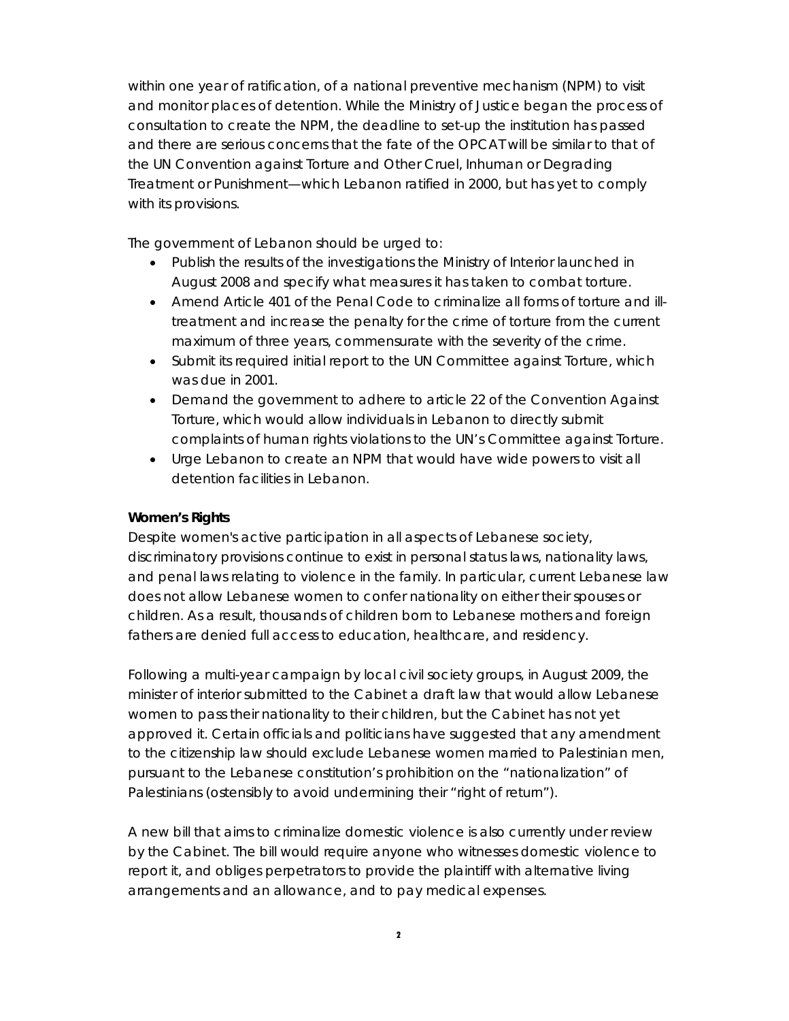within one year of ratification, of a national preventive mechanism (NPM) to visit and monitor places of detention. While the Ministry of Justice began the process of consultation to create the NPM, the deadline to set-up the institution has passed and there are serious concerns that the fate of the OPCAT will be similar to that of the UN Convention against Torture and Other Cruel, Inhuman or Degrading Treatment or Punishment—which Lebanon ratified in 2000, but has yet to comply with its provisions.

The government of Lebanon should be urged to:

- Publish the results of the investigations the Ministry of Interior launched in August 2008 and specify what measures it has taken to combat torture.
- Amend Article 401 of the Penal Code to criminalize all forms of torture and illtreatment and increase the penalty for the crime of torture from the current maximum of three years, commensurate with the severity of the crime.
- Submit its required initial report to the UN Committee against Torture, which was due in 2001.
- Demand the government to adhere to article 22 of the Convention Against Torture, which would allow individuals in Lebanon to directly submit complaints of human rights violations to the UN's Committee against Torture.
- Urge Lebanon to create an NPM that would have wide powers to visit all detention facilities in Lebanon.

#### **Women's Rights**

Despite women's active participation in all aspects of Lebanese society, discriminatory provisions continue to exist in personal status laws, nationality laws, and penal laws relating to violence in the family. In particular, current Lebanese law does not allow Lebanese women to confer nationality on either their spouses or children. As a result, thousands of children born to Lebanese mothers and foreign fathers are denied full access to education, healthcare, and residency.

Following a multi-year campaign by local civil society groups, in August 2009, the minister of interior submitted to the Cabinet a draft law that would allow Lebanese women to pass their nationality to their children, but the Cabinet has not yet approved it. Certain officials and politicians have suggested that any amendment to the citizenship law should exclude Lebanese women married to Palestinian men, pursuant to the Lebanese constitution's prohibition on the "nationalization" of Palestinians (ostensibly to avoid undermining their "right of return").

A new bill that aims to criminalize domestic violence is also currently under review by the Cabinet. The bill would require anyone who witnesses domestic violence to report it, and obliges perpetrators to provide the plaintiff with alternative living arrangements and an allowance, and to pay medical expenses.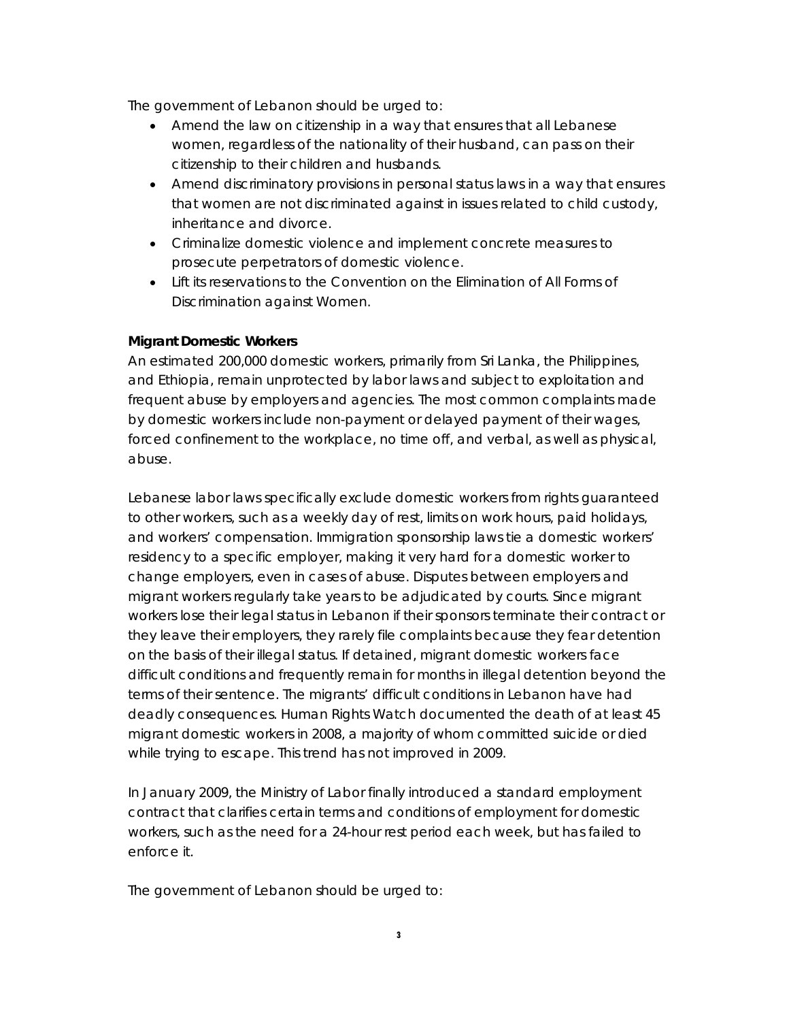The government of Lebanon should be urged to:

- Amend the law on citizenship in a way that ensures that all Lebanese women, regardless of the nationality of their husband, can pass on their citizenship to their children and husbands.
- Amend discriminatory provisions in personal status laws in a way that ensures that women are not discriminated against in issues related to child custody, inheritance and divorce.
- Criminalize domestic violence and implement concrete measures to prosecute perpetrators of domestic violence.
- Lift its reservations to the Convention on the Elimination of All Forms of Discrimination against Women.

### **Migrant Domestic Workers**

An estimated 200,000 domestic workers, primarily from Sri Lanka, the Philippines, and Ethiopia, remain unprotected by labor laws and subject to exploitation and frequent abuse by employers and agencies. The most common complaints made by domestic workers include non-payment or delayed payment of their wages, forced confinement to the workplace, no time off, and verbal, as well as physical, abuse.

Lebanese labor laws specifically exclude domestic workers from rights guaranteed to other workers, such as a weekly day of rest, limits on work hours, paid holidays, and workers' compensation. Immigration sponsorship laws tie a domestic workers' residency to a specific employer, making it very hard for a domestic worker to change employers, even in cases of abuse. Disputes between employers and migrant workers regularly take years to be adjudicated by courts. Since migrant workers lose their legal status in Lebanon if their sponsors terminate their contract or they leave their employers, they rarely file complaints because they fear detention on the basis of their illegal status. If detained, migrant domestic workers face difficult conditions and frequently remain for months in illegal detention beyond the terms of their sentence. The migrants' difficult conditions in Lebanon have had deadly consequences. Human Rights Watch documented the death of at least 45 migrant domestic workers in 2008, a majority of whom committed suicide or died while trying to escape. This trend has not improved in 2009.

In January 2009, the Ministry of Labor finally introduced a standard employment contract that clarifies certain terms and conditions of employment for domestic workers, such as the need for a 24-hour rest period each week, but has failed to enforce it.

The government of Lebanon should be urged to: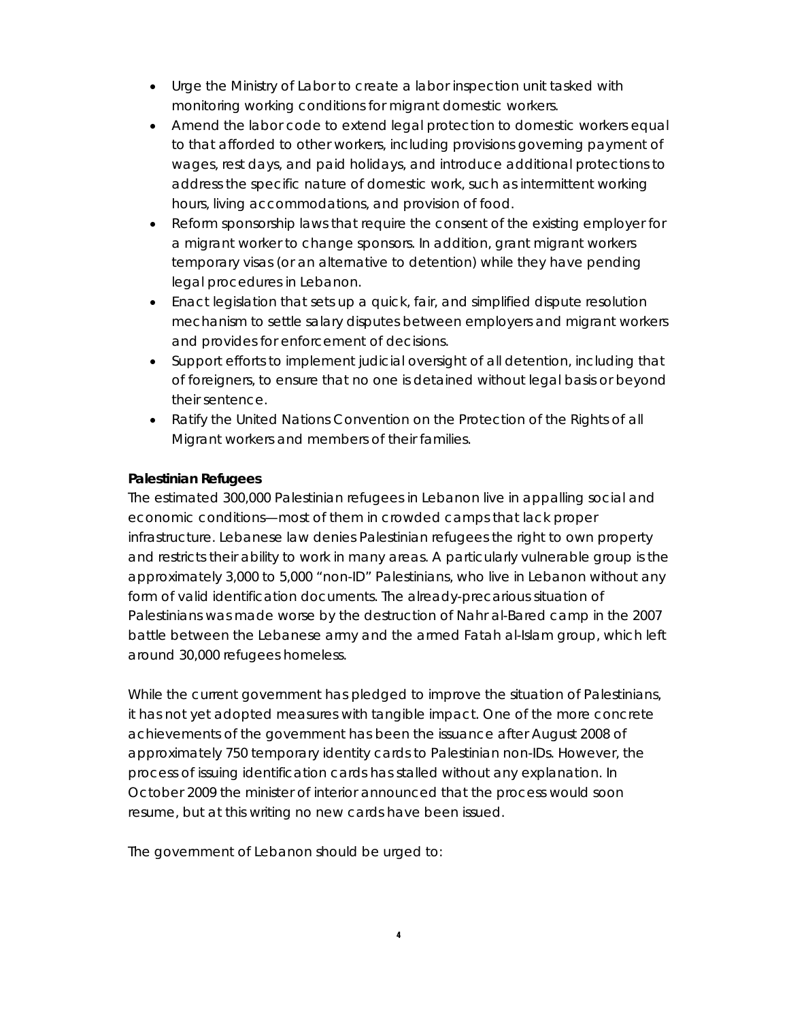- Urge the Ministry of Labor to create a labor inspection unit tasked with monitoring working conditions for migrant domestic workers.
- Amend the labor code to extend legal protection to domestic workers equal to that afforded to other workers, including provisions governing payment of wages, rest days, and paid holidays, and introduce additional protections to address the specific nature of domestic work, such as intermittent working hours, living accommodations, and provision of food.
- Reform sponsorship laws that require the consent of the existing employer for a migrant worker to change sponsors. In addition, grant migrant workers temporary visas (or an alternative to detention) while they have pending legal procedures in Lebanon.
- Enact legislation that sets up a quick, fair, and simplified dispute resolution mechanism to settle salary disputes between employers and migrant workers and provides for enforcement of decisions.
- Support efforts to implement judicial oversight of all detention, including that of foreigners, to ensure that no one is detained without legal basis or beyond their sentence.
- Ratify the United Nations Convention on the Protection of the Rights of all Migrant workers and members of their families.

### **Palestinian Refugees**

The estimated 300,000 Palestinian refugees in Lebanon live in appalling social and economic conditions—most of them in crowded camps that lack proper infrastructure. Lebanese law denies Palestinian refugees the right to own property and restricts their ability to work in many areas. A particularly vulnerable group is the approximately 3,000 to 5,000 "non-ID" Palestinians, who live in Lebanon without any form of valid identification documents. The already-precarious situation of Palestinians was made worse by the destruction of Nahr al-Bared camp in the 2007 battle between the Lebanese army and the armed Fatah al-Islam group, which left around 30,000 refugees homeless.

While the current government has pledged to improve the situation of Palestinians, it has not yet adopted measures with tangible impact. One of the more concrete achievements of the government has been the issuance after August 2008 of approximately 750 temporary identity cards to Palestinian non-IDs. However, the process of issuing identification cards has stalled without any explanation. In October 2009 the minister of interior announced that the process would soon resume, but at this writing no new cards have been issued.

The government of Lebanon should be urged to: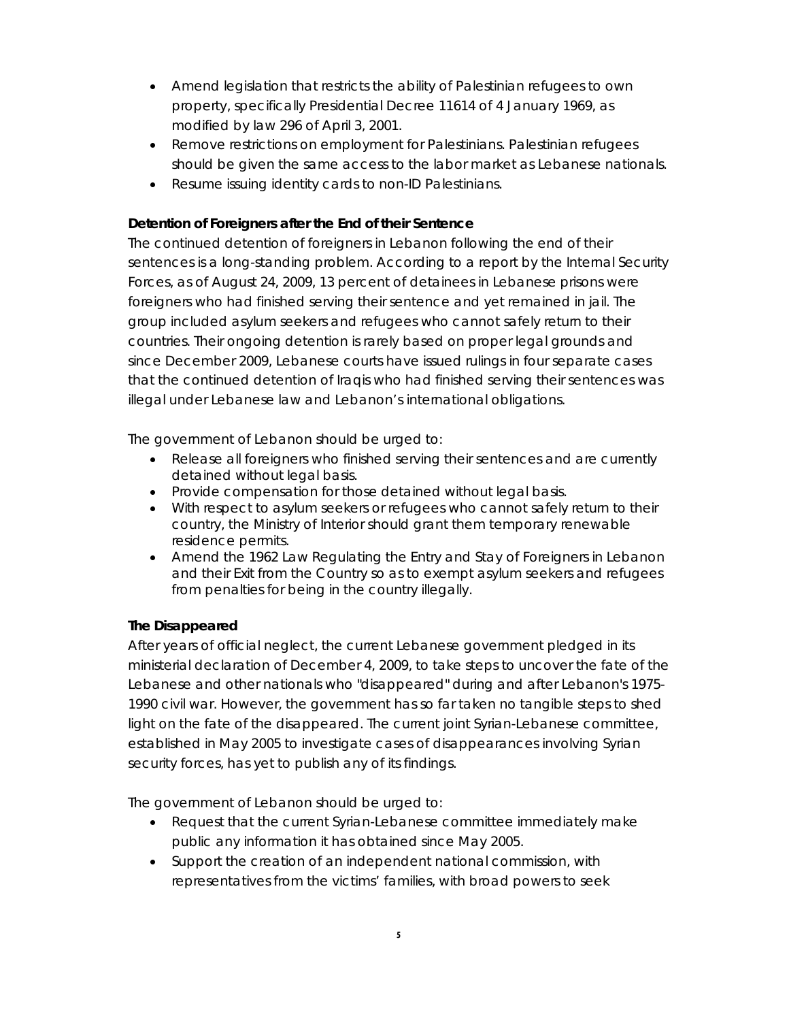- Amend legislation that restricts the ability of Palestinian refugees to own property, specifically Presidential Decree 11614 of 4 January 1969, as modified by law 296 of April 3, 2001.
- Remove restrictions on employment for Palestinians. Palestinian refugees should be given the same access to the labor market as Lebanese nationals.
- Resume issuing identity cards to non-ID Palestinians.

## **Detention of Foreigners after the End of their Sentence**

The continued detention of foreigners in Lebanon following the end of their sentences is a long-standing problem. According to a report by the Internal Security Forces, as of August 24, 2009, 13 percent of detainees in Lebanese prisons were foreigners who had finished serving their sentence and yet remained in jail. The group included asylum seekers and refugees who cannot safely return to their countries. Their ongoing detention is rarely based on proper legal grounds and since December 2009, Lebanese courts have issued rulings in four separate cases that the continued detention of Iraqis who had finished serving their sentences was illegal under Lebanese law and Lebanon's international obligations.

The government of Lebanon should be urged to:

- Release all foreigners who finished serving their sentences and are currently detained without legal basis.
- Provide compensation for those detained without legal basis.
- With respect to asylum seekers or refugees who cannot safely return to their country, the Ministry of Interior should grant them temporary renewable residence permits.
- Amend the 1962 Law Regulating the Entry and Stay of Foreigners in Lebanon and their Exit from the Country so as to exempt asylum seekers and refugees from penalties for being in the country illegally.

## **The Disappeared**

After years of official neglect, the current Lebanese government pledged in its ministerial declaration of December 4, 2009, to take steps to uncover the fate of the Lebanese and other nationals who "disappeared" during and after Lebanon's 1975- 1990 civil war. However, the government has so far taken no tangible steps to shed light on the fate of the disappeared. The current joint Syrian-Lebanese committee, established in May 2005 to investigate cases of disappearances involving Syrian security forces, has yet to publish any of its findings.

The government of Lebanon should be urged to:

- Request that the current Syrian-Lebanese committee immediately make public any information it has obtained since May 2005.
- Support the creation of an independent national commission, with representatives from the victims' families, with broad powers to seek